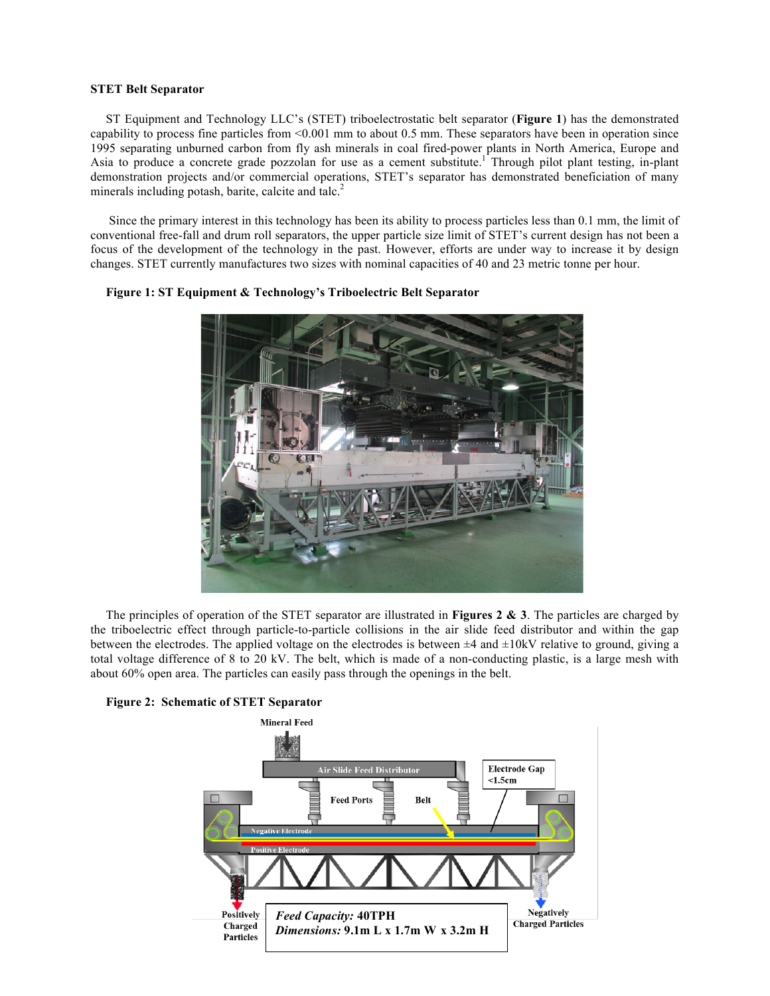## **STET Belt Separator**

ST Equipment and Technology LLC's (STET) triboelectrostatic belt separator (**Figure 1**) has the demonstrated capability to process fine particles from  $\leq 0.001$  mm to about 0.5 mm. These separators have been in operation since 1995 separating unburned carbon from fly ash minerals in coal fired-power plants in North America, Europe and Asia to produce a concrete grade pozzolan for use as a cement substitute.<sup>1</sup> Through pilot plant testing, in-plant demonstration projects and/or commercial operations, STET's separator has demonstrated beneficiation of many minerals including potash, barite, calcite and talc.<sup>2</sup>

Since the primary interest in this technology has been its ability to process particles less than 0.1 mm, the limit of conventional free-fall and drum roll separators, the upper particle size limit of STET's current design has not been a focus of the development of the technology in the past. However, efforts are under way to increase it by design changes. STET currently manufactures two sizes with nominal capacities of 40 and 23 metric tonne per hour.



**Figure 1: ST Equipment & Technology's Triboelectric Belt Separator**

The principles of operation of the STET separator are illustrated in **Figures 2 & 3**. The particles are charged by the triboelectric effect through particle-to-particle collisions in the air slide feed distributor and within the gap between the electrodes. The applied voltage on the electrodes is between  $\pm 4$  and  $\pm 10$ kV relative to ground, giving a total voltage difference of 8 to 20 kV. The belt, which is made of a non-conducting plastic, is a large mesh with about 60% open area. The particles can easily pass through the openings in the belt.



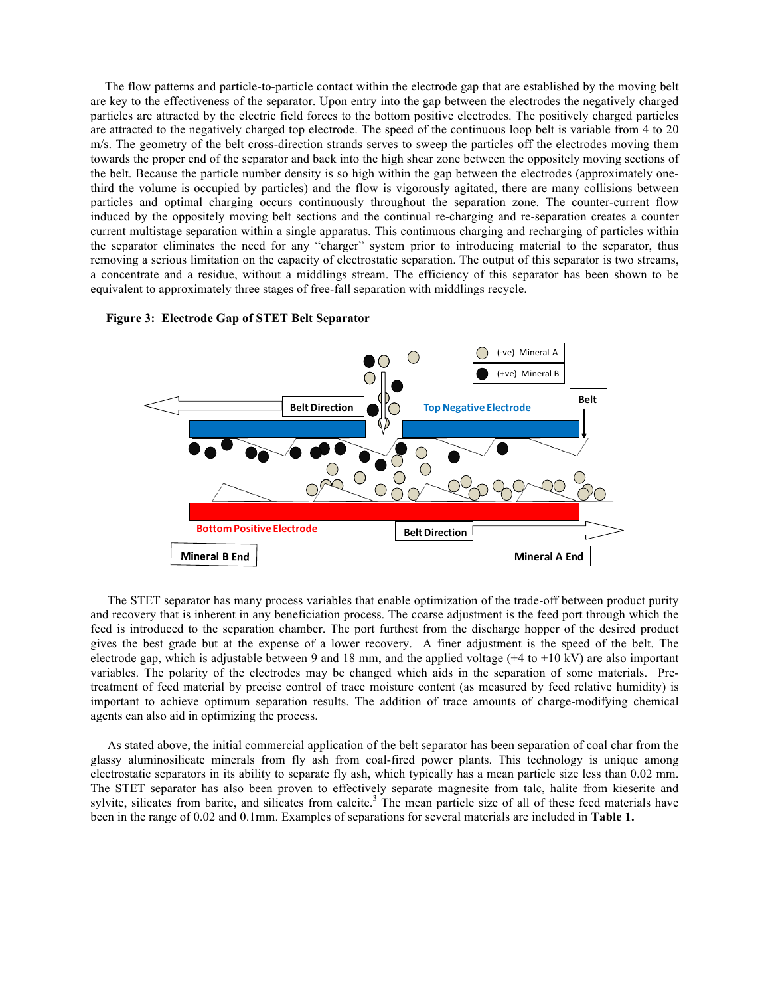The flow patterns and particle-to-particle contact within the electrode gap that are established by the moving belt are key to the effectiveness of the separator. Upon entry into the gap between the electrodes the negatively charged particles are attracted by the electric field forces to the bottom positive electrodes. The positively charged particles are attracted to the negatively charged top electrode. The speed of the continuous loop belt is variable from 4 to 20 m/s. The geometry of the belt cross-direction strands serves to sweep the particles off the electrodes moving them towards the proper end of the separator and back into the high shear zone between the oppositely moving sections of the belt. Because the particle number density is so high within the gap between the electrodes (approximately onethird the volume is occupied by particles) and the flow is vigorously agitated, there are many collisions between particles and optimal charging occurs continuously throughout the separation zone. The counter-current flow induced by the oppositely moving belt sections and the continual re-charging and re-separation creates a counter current multistage separation within a single apparatus. This continuous charging and recharging of particles within the separator eliminates the need for any "charger" system prior to introducing material to the separator, thus removing a serious limitation on the capacity of electrostatic separation. The output of this separator is two streams, a concentrate and a residue, without a middlings stream. The efficiency of this separator has been shown to be equivalent to approximately three stages of free-fall separation with middlings recycle.



## **Figure 3: Electrode Gap of STET Belt Separator**

The STET separator has many process variables that enable optimization of the trade-off between product purity and recovery that is inherent in any beneficiation process. The coarse adjustment is the feed port through which the feed is introduced to the separation chamber. The port furthest from the discharge hopper of the desired product gives the best grade but at the expense of a lower recovery. A finer adjustment is the speed of the belt. The electrode gap, which is adjustable between 9 and 18 mm, and the applied voltage ( $\pm 4$  to  $\pm 10$  kV) are also important variables. The polarity of the electrodes may be changed which aids in the separation of some materials. Pretreatment of feed material by precise control of trace moisture content (as measured by feed relative humidity) is important to achieve optimum separation results. The addition of trace amounts of charge-modifying chemical agents can also aid in optimizing the process.

As stated above, the initial commercial application of the belt separator has been separation of coal char from the glassy aluminosilicate minerals from fly ash from coal-fired power plants. This technology is unique among electrostatic separators in its ability to separate fly ash, which typically has a mean particle size less than 0.02 mm. The STET separator has also been proven to effectively separate magnesite from talc, halite from kieserite and sylvite, silicates from barite, and silicates from calcite.<sup>3</sup> The mean particle size of all of these feed materials have been in the range of 0.02 and 0.1mm. Examples of separations for several materials are included in **Table 1.**